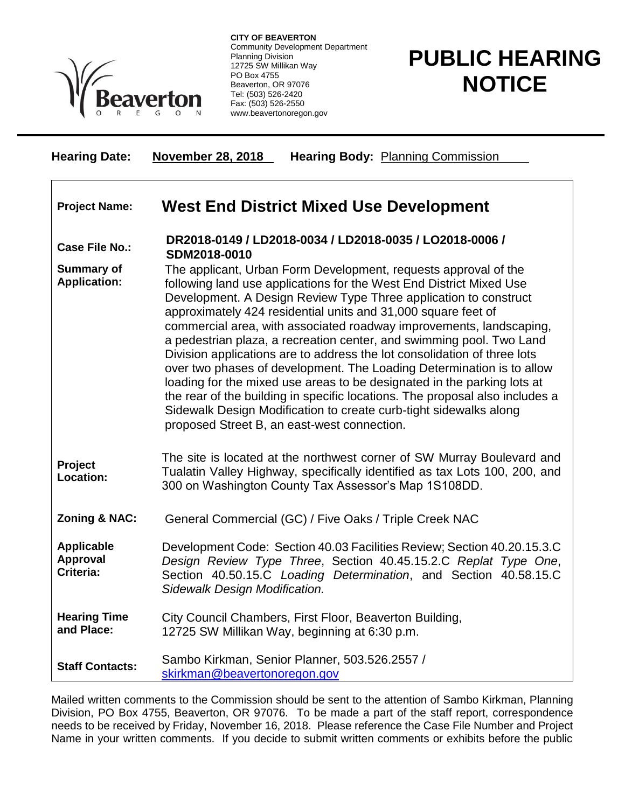

**CITY OF BEAVERTON** Community Development Department Planning Division 12725 SW Millikan Way PO Box 4755 Beaverton, OR 97076 Tel: (503) 526-2420 Fax: (503) 526-2550 www.beavertonoregon.gov

## **PUBLIC HEARING NOTICE**

| <b>Hearing Date:</b>                              | <b>November 28, 2018</b><br><b>Hearing Body: Planning Commission</b>                                                                                                                                                                                                                                                                                                                                                                                                                                                                                                                                                                                                                                                                                                                                                                                           |
|---------------------------------------------------|----------------------------------------------------------------------------------------------------------------------------------------------------------------------------------------------------------------------------------------------------------------------------------------------------------------------------------------------------------------------------------------------------------------------------------------------------------------------------------------------------------------------------------------------------------------------------------------------------------------------------------------------------------------------------------------------------------------------------------------------------------------------------------------------------------------------------------------------------------------|
| <b>Project Name:</b>                              | West End District Mixed Use Development                                                                                                                                                                                                                                                                                                                                                                                                                                                                                                                                                                                                                                                                                                                                                                                                                        |
| <b>Case File No.:</b>                             | DR2018-0149 / LD2018-0034 / LD2018-0035 / LO2018-0006 /<br>SDM2018-0010                                                                                                                                                                                                                                                                                                                                                                                                                                                                                                                                                                                                                                                                                                                                                                                        |
| <b>Summary of</b><br><b>Application:</b>          | The applicant, Urban Form Development, requests approval of the<br>following land use applications for the West End District Mixed Use<br>Development. A Design Review Type Three application to construct<br>approximately 424 residential units and 31,000 square feet of<br>commercial area, with associated roadway improvements, landscaping,<br>a pedestrian plaza, a recreation center, and swimming pool. Two Land<br>Division applications are to address the lot consolidation of three lots<br>over two phases of development. The Loading Determination is to allow<br>loading for the mixed use areas to be designated in the parking lots at<br>the rear of the building in specific locations. The proposal also includes a<br>Sidewalk Design Modification to create curb-tight sidewalks along<br>proposed Street B, an east-west connection. |
| Project<br><b>Location:</b>                       | The site is located at the northwest corner of SW Murray Boulevard and<br>Tualatin Valley Highway, specifically identified as tax Lots 100, 200, and<br>300 on Washington County Tax Assessor's Map 1S108DD.                                                                                                                                                                                                                                                                                                                                                                                                                                                                                                                                                                                                                                                   |
| <b>Zoning &amp; NAC:</b>                          | General Commercial (GC) / Five Oaks / Triple Creek NAC                                                                                                                                                                                                                                                                                                                                                                                                                                                                                                                                                                                                                                                                                                                                                                                                         |
| <b>Applicable</b><br><b>Approval</b><br>Criteria: | Development Code: Section 40.03 Facilities Review; Section 40.20.15.3.C<br>Design Review Type Three, Section 40.45.15.2.C Replat Type One,<br>Section 40.50.15.C Loading Determination, and Section 40.58.15.C<br>Sidewalk Design Modification.                                                                                                                                                                                                                                                                                                                                                                                                                                                                                                                                                                                                                |
| <b>Hearing Time</b><br>and Place:                 | City Council Chambers, First Floor, Beaverton Building,<br>12725 SW Millikan Way, beginning at 6:30 p.m.                                                                                                                                                                                                                                                                                                                                                                                                                                                                                                                                                                                                                                                                                                                                                       |
| <b>Staff Contacts:</b>                            | Sambo Kirkman, Senior Planner, 503.526.2557 /<br>skirkman@beavertonoregon.gov                                                                                                                                                                                                                                                                                                                                                                                                                                                                                                                                                                                                                                                                                                                                                                                  |

Mailed written comments to the Commission should be sent to the attention of Sambo Kirkman, Planning Division, PO Box 4755, Beaverton, OR 97076. To be made a part of the staff report, correspondence needs to be received by Friday, November 16, 2018. Please reference the Case File Number and Project Name in your written comments. If you decide to submit written comments or exhibits before the public